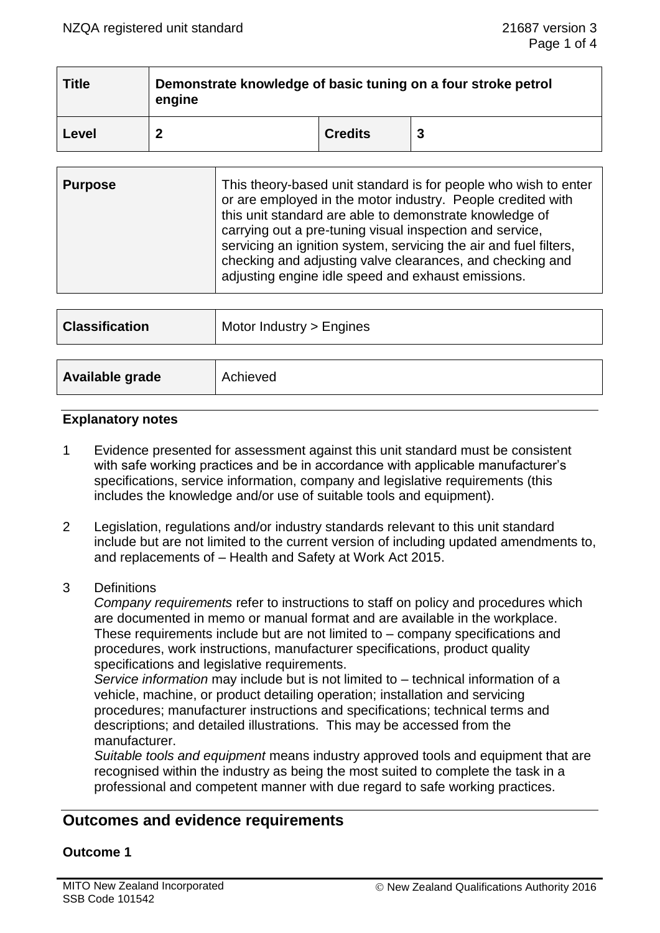| <b>Title</b> | Demonstrate knowledge of basic tuning on a four stroke petrol<br>engine |                |  |  |
|--------------|-------------------------------------------------------------------------|----------------|--|--|
| Level        |                                                                         | <b>Credits</b> |  |  |

| <b>Purpose</b> | This theory-based unit standard is for people who wish to enter<br>or are employed in the motor industry. People credited with<br>this unit standard are able to demonstrate knowledge of<br>carrying out a pre-tuning visual inspection and service,<br>servicing an ignition system, servicing the air and fuel filters,<br>checking and adjusting valve clearances, and checking and<br>adjusting engine idle speed and exhaust emissions. |
|----------------|-----------------------------------------------------------------------------------------------------------------------------------------------------------------------------------------------------------------------------------------------------------------------------------------------------------------------------------------------------------------------------------------------------------------------------------------------|
|----------------|-----------------------------------------------------------------------------------------------------------------------------------------------------------------------------------------------------------------------------------------------------------------------------------------------------------------------------------------------------------------------------------------------------------------------------------------------|

| <b>Classification</b> | Motor Industry > Engines |
|-----------------------|--------------------------|
|                       |                          |
| Available grade       | Achieved                 |

### **Explanatory notes**

- 1 Evidence presented for assessment against this unit standard must be consistent with safe working practices and be in accordance with applicable manufacturer's specifications, service information, company and legislative requirements (this includes the knowledge and/or use of suitable tools and equipment).
- 2 Legislation, regulations and/or industry standards relevant to this unit standard include but are not limited to the current version of including updated amendments to, and replacements of – Health and Safety at Work Act 2015.
- 3 Definitions

*Company requirements* refer to instructions to staff on policy and procedures which are documented in memo or manual format and are available in the workplace. These requirements include but are not limited to – company specifications and procedures, work instructions, manufacturer specifications, product quality specifications and legislative requirements.

*Service information* may include but is not limited to – technical information of a vehicle, machine, or product detailing operation; installation and servicing procedures; manufacturer instructions and specifications; technical terms and descriptions; and detailed illustrations. This may be accessed from the manufacturer.

*Suitable tools and equipment* means industry approved tools and equipment that are recognised within the industry as being the most suited to complete the task in a professional and competent manner with due regard to safe working practices.

# **Outcomes and evidence requirements**

### **Outcome 1**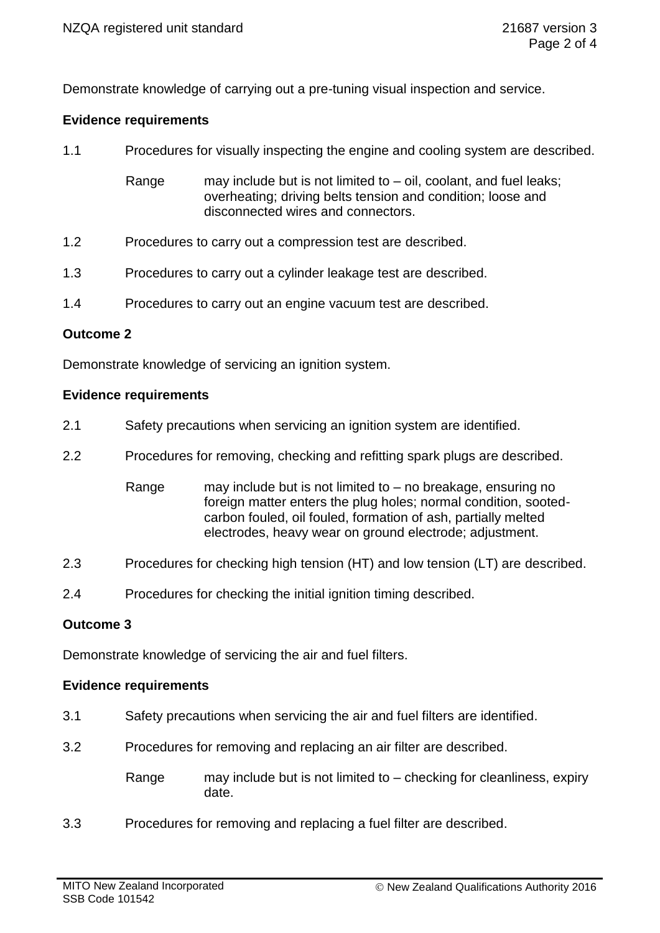Demonstrate knowledge of carrying out a pre-tuning visual inspection and service.

### **Evidence requirements**

1.1 Procedures for visually inspecting the engine and cooling system are described.

Range may include but is not limited to  $-$  oil, coolant, and fuel leaks; overheating; driving belts tension and condition; loose and disconnected wires and connectors.

- 1.2 Procedures to carry out a compression test are described.
- 1.3 Procedures to carry out a cylinder leakage test are described.
- 1.4 Procedures to carry out an engine vacuum test are described.

### **Outcome 2**

Demonstrate knowledge of servicing an ignition system.

### **Evidence requirements**

- 2.1 Safety precautions when servicing an ignition system are identified.
- 2.2 Procedures for removing, checking and refitting spark plugs are described.
	- Range may include but is not limited to no breakage, ensuring no foreign matter enters the plug holes; normal condition, sootedcarbon fouled, oil fouled, formation of ash, partially melted electrodes, heavy wear on ground electrode; adjustment.
- 2.3 Procedures for checking high tension (HT) and low tension (LT) are described.
- 2.4 Procedures for checking the initial ignition timing described.

### **Outcome 3**

Demonstrate knowledge of servicing the air and fuel filters.

### **Evidence requirements**

- 3.1 Safety precautions when servicing the air and fuel filters are identified.
- 3.2 Procedures for removing and replacing an air filter are described.
	- Range may include but is not limited to checking for cleanliness, expiry date.
- 3.3 Procedures for removing and replacing a fuel filter are described.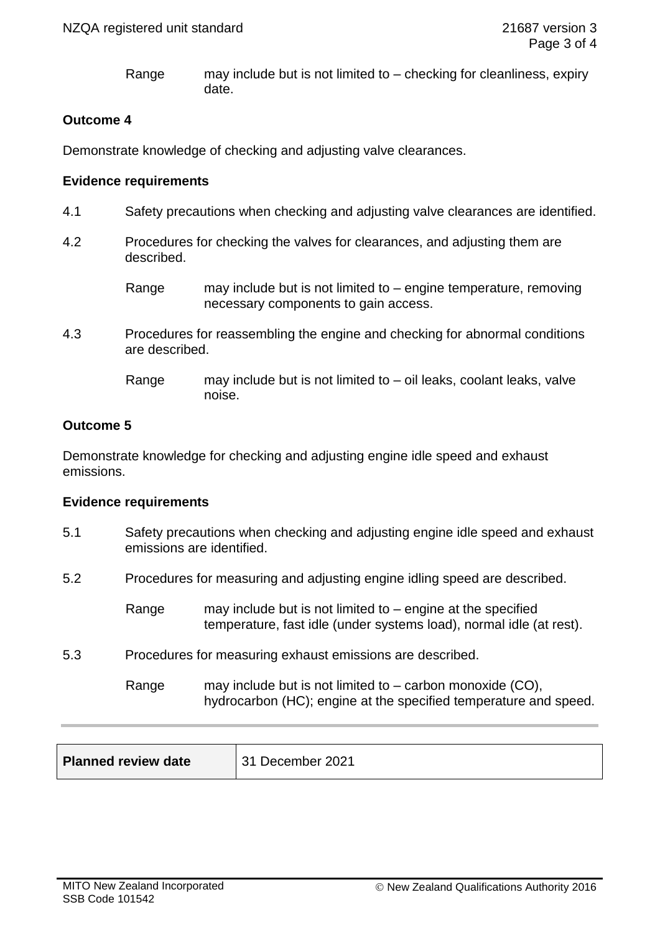Range may include but is not limited to – checking for cleanliness, expiry date.

# **Outcome 4**

Demonstrate knowledge of checking and adjusting valve clearances.

### **Evidence requirements**

- 4.1 Safety precautions when checking and adjusting valve clearances are identified.
- 4.2 Procedures for checking the valves for clearances, and adjusting them are described.
	- Range may include but is not limited to engine temperature, removing necessary components to gain access.
- 4.3 Procedures for reassembling the engine and checking for abnormal conditions are described.
	- Range may include but is not limited to oil leaks, coolant leaks, valve noise.

# **Outcome 5**

Demonstrate knowledge for checking and adjusting engine idle speed and exhaust emissions.

### **Evidence requirements**

- 5.1 Safety precautions when checking and adjusting engine idle speed and exhaust emissions are identified.
- 5.2 Procedures for measuring and adjusting engine idling speed are described.
	- Range may include but is not limited to engine at the specified temperature, fast idle (under systems load), normal idle (at rest).
- 5.3 Procedures for measuring exhaust emissions are described.
	- Range may include but is not limited to carbon monoxide (CO), hydrocarbon (HC); engine at the specified temperature and speed.

| December 2021 |
|---------------|
|               |